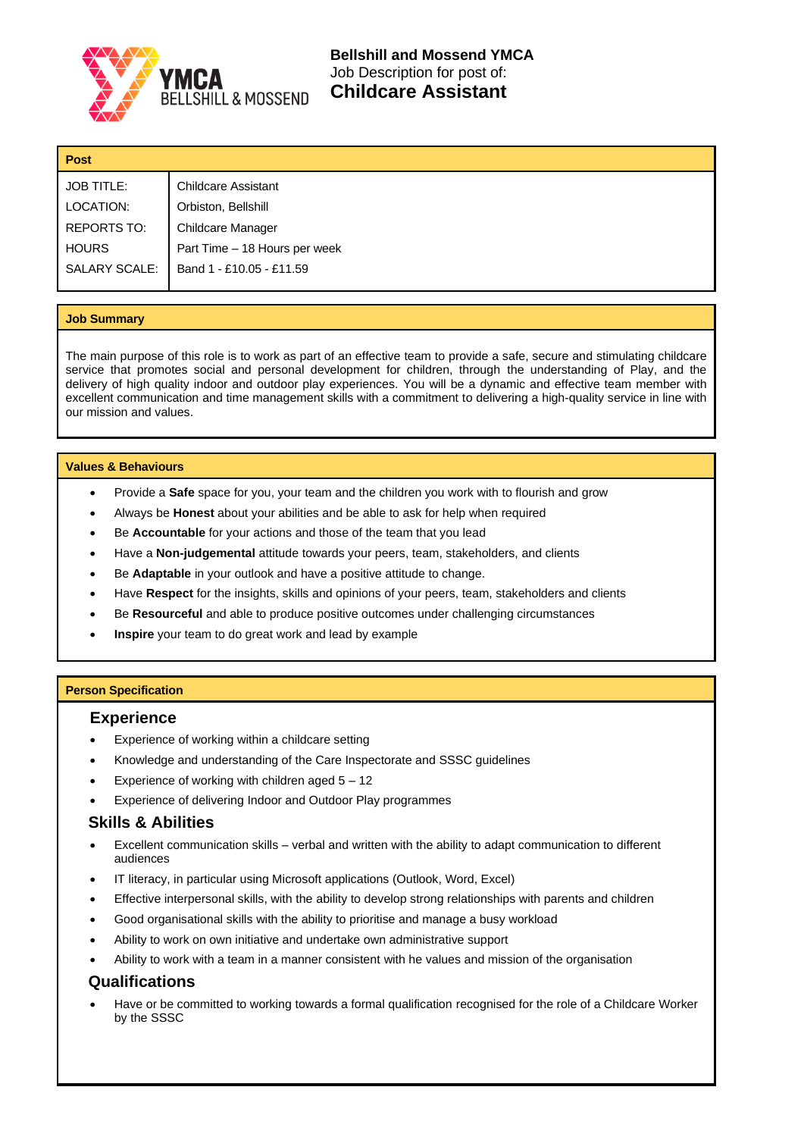

**Bellshill and Mossend YMCA**  Job Description for post of: **Childcare Assistant**

| <b>Post</b>          |                               |  |
|----------------------|-------------------------------|--|
| <b>JOB TITLE:</b>    | <b>Childcare Assistant</b>    |  |
| LOCATION:            | Orbiston, Bellshill           |  |
| <b>REPORTS TO:</b>   | <b>Childcare Manager</b>      |  |
| <b>HOURS</b>         | Part Time - 18 Hours per week |  |
| <b>SALARY SCALE:</b> | Band 1 - £10.05 - £11.59      |  |
|                      |                               |  |

#### **Job Summary**

The main purpose of this role is to work as part of an effective team to provide a safe, secure and stimulating childcare service that promotes social and personal development for children, through the understanding of Play, and the delivery of high quality indoor and outdoor play experiences. You will be a dynamic and effective team member with excellent communication and time management skills with a commitment to delivering a high-quality service in line with our mission and values.

#### **Values & Behaviours**

- Provide a **Safe** space for you, your team and the children you work with to flourish and grow
- Always be **Honest** about your abilities and be able to ask for help when required
- Be **Accountable** for your actions and those of the team that you lead
- Have a **Non-judgemental** attitude towards your peers, team, stakeholders, and clients
- Be **Adaptable** in your outlook and have a positive attitude to change.
- Have **Respect** for the insights, skills and opinions of your peers, team, stakeholders and clients
- Be **Resourceful** and able to produce positive outcomes under challenging circumstances
- **Inspire** your team to do great work and lead by example

### **Person Specification**

### **Experience**

- Experience of working within a childcare setting
- Knowledge and understanding of the Care Inspectorate and SSSC guidelines
- Experience of working with children aged  $5 12$
- Experience of delivering Indoor and Outdoor Play programmes

# **Skills & Abilities**

- Excellent communication skills verbal and written with the ability to adapt communication to different audiences
- IT literacy, in particular using Microsoft applications (Outlook, Word, Excel)
- Effective interpersonal skills, with the ability to develop strong relationships with parents and children
- Good organisational skills with the ability to prioritise and manage a busy workload
- Ability to work on own initiative and undertake own administrative support
- Ability to work with a team in a manner consistent with he values and mission of the organisation

# **Qualifications**

• Have or be committed to working towards a formal qualification recognised for the role of a Childcare Worker by the SSSC